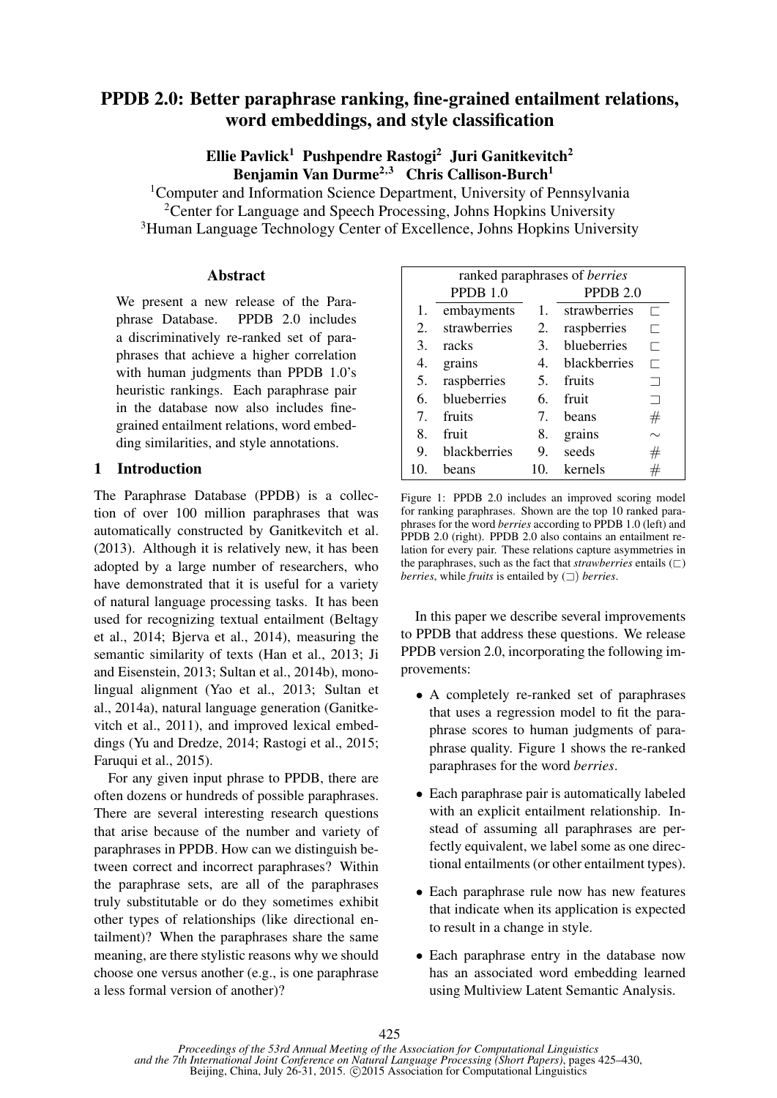# PPDB 2.0: Better paraphrase ranking, fine-grained entailment relations, word embeddings, and style classification

Ellie Pavlick<sup>1</sup> Pushpendre Rastogi<sup>2</sup> Juri Ganitkevitch<sup>2</sup> Benjamin Van Durme<sup>2,3</sup> Chris Callison-Burch<sup>1</sup>

<sup>1</sup>Computer and Information Science Department, University of Pennsylvania <sup>2</sup>Center for Language and Speech Processing, Johns Hopkins University <sup>3</sup>Human Language Technology Center of Excellence, Johns Hopkins University

#### **Abstract**

We present a new release of the Paraphrase Database. PPDB 2.0 includes a discriminatively re-ranked set of paraphrases that achieve a higher correlation with human judgments than PPDB 1.0's heuristic rankings. Each paraphrase pair in the database now also includes finegrained entailment relations, word embedding similarities, and style annotations.

#### 1 Introduction

The Paraphrase Database (PPDB) is a collection of over 100 million paraphrases that was automatically constructed by Ganitkevitch et al. (2013). Although it is relatively new, it has been adopted by a large number of researchers, who have demonstrated that it is useful for a variety of natural language processing tasks. It has been used for recognizing textual entailment (Beltagy et al., 2014; Bjerva et al., 2014), measuring the semantic similarity of texts (Han et al., 2013; Ji and Eisenstein, 2013; Sultan et al., 2014b), monolingual alignment (Yao et al., 2013; Sultan et al., 2014a), natural language generation (Ganitkevitch et al., 2011), and improved lexical embeddings (Yu and Dredze, 2014; Rastogi et al., 2015; Faruqui et al., 2015).

For any given input phrase to PPDB, there are often dozens or hundreds of possible paraphrases. There are several interesting research questions that arise because of the number and variety of paraphrases in PPDB. How can we distinguish between correct and incorrect paraphrases? Within the paraphrase sets, are all of the paraphrases truly substitutable or do they sometimes exhibit other types of relationships (like directional entailment)? When the paraphrases share the same meaning, are there stylistic reasons why we should choose one versus another (e.g., is one paraphrase a less formal version of another)?

| ranked paraphrases of <i>berries</i> |              |     |                     |                          |  |  |  |
|--------------------------------------|--------------|-----|---------------------|--------------------------|--|--|--|
|                                      | PPDB $1.0$   |     | PPDB <sub>2.0</sub> |                          |  |  |  |
| 1.                                   | embayments   |     | 1. strawberries     | г                        |  |  |  |
| $\mathcal{D}_{\mathcal{L}}$          | strawberries | 2.  | raspberries         | ⊏                        |  |  |  |
| 3.                                   | racks        | 3.  | blueberries         | ┍                        |  |  |  |
| 4.                                   | grains       | 4.  | <b>blackberries</b> | Г                        |  |  |  |
| 5.                                   | raspberries  | 5.  | fruits              |                          |  |  |  |
| 6.                                   | blueberries  | 6.  | fruit               | $\overline{\phantom{0}}$ |  |  |  |
| 7.                                   | fruits       | 7.  | beans               | #                        |  |  |  |
| 8.                                   | fruit        | 8.  | grains              | $\sim$                   |  |  |  |
| 9.                                   | blackberries | 9.  | seeds               | #                        |  |  |  |
| 10.                                  | beans        | 10. | kernels             | #                        |  |  |  |

Figure 1: PPDB 2.0 includes an improved scoring model for ranking paraphrases. Shown are the top 10 ranked paraphrases for the word *berries* according to PPDB 1.0 (left) and PPDB 2.0 (right). PPDB 2.0 also contains an entailment relation for every pair. These relations capture asymmetries in the paraphrases, such as the fact that *strawberries* entails  $(\sqsubset)$ *berries*, while *fruits* is entailed by (A) *berries*.

In this paper we describe several improvements to PPDB that address these questions. We release PPDB version 2.0, incorporating the following improvements:

- A completely re-ranked set of paraphrases that uses a regression model to fit the paraphrase scores to human judgments of paraphrase quality. Figure 1 shows the re-ranked paraphrases for the word *berries*.
- Each paraphrase pair is automatically labeled with an explicit entailment relationship. Instead of assuming all paraphrases are perfectly equivalent, we label some as one directional entailments (or other entailment types).
- Each paraphrase rule now has new features that indicate when its application is expected to result in a change in style.
- Each paraphrase entry in the database now has an associated word embedding learned using Multiview Latent Semantic Analysis.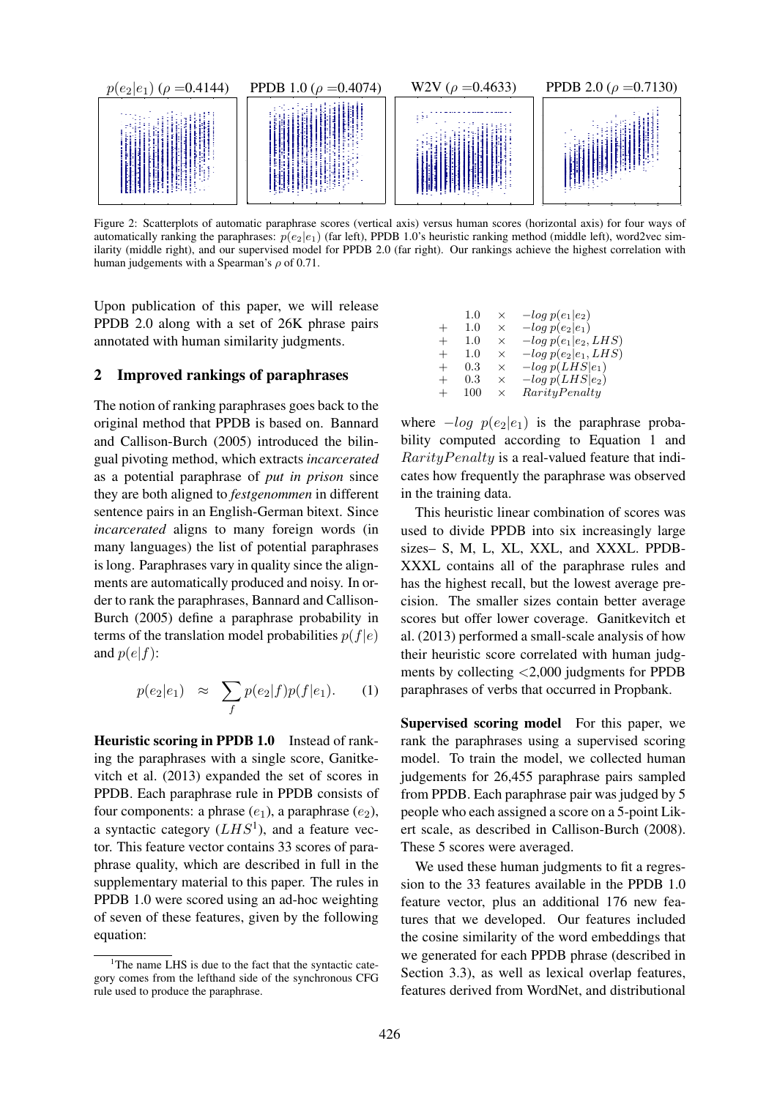

Figure 2: Scatterplots of automatic paraphrase scores (vertical axis) versus human scores (horizontal axis) for four ways of automatically ranking the paraphrases:  $p(e_2|e_1)$  (far left), PPDB 1.0's heuristic ranking method (middle left), word2vec similarity (middle right), and our supervised model for PPDB 2.0 (far right). Our rankings achieve the highest correlation with human judgements with a Spearman's  $\rho$  of 0.71.

Upon publication of this paper, we will release PPDB 2.0 along with a set of 26K phrase pairs annotated with human similarity judgments.

#### 2 Improved rankings of paraphrases

The notion of ranking paraphrases goes back to the original method that PPDB is based on. Bannard and Callison-Burch (2005) introduced the bilingual pivoting method, which extracts *incarcerated* as a potential paraphrase of *put in prison* since they are both aligned to *festgenommen* in different sentence pairs in an English-German bitext. Since *incarcerated* aligns to many foreign words (in many languages) the list of potential paraphrases is long. Paraphrases vary in quality since the alignments are automatically produced and noisy. In order to rank the paraphrases, Bannard and Callison-Burch (2005) define a paraphrase probability in terms of the translation model probabilities  $p(f|e)$ and  $p(e|f)$ :

$$
p(e_2|e_1) \approx \sum_f p(e_2|f)p(f|e_1).
$$
 (1)

Heuristic scoring in PPDB 1.0 Instead of ranking the paraphrases with a single score, Ganitkevitch et al. (2013) expanded the set of scores in PPDB. Each paraphrase rule in PPDB consists of four components: a phrase  $(e_1)$ , a paraphrase  $(e_2)$ , a syntactic category  $(LHS^1)$ , and a feature vector. This feature vector contains 33 scores of paraphrase quality, which are described in full in the supplementary material to this paper. The rules in PPDB 1.0 were scored using an ad-hoc weighting of seven of these features, given by the following equation:

|        | $1.0\,$ | $\times$ | $-log p(e_1 e_2)$      |
|--------|---------|----------|------------------------|
| $^+$   | $1.0\,$ | $\times$ | $-log p(e_2 e_1)$      |
| $^{+}$ | $1.0\,$ | X        | $-log p(e1 e2, LHS)$   |
| $^{+}$ | $1.0\,$ | X        | $-log p(e_2 e_1, LHS)$ |
| $^+$   | $0.3\,$ | $\times$ | $-log p(LHS e_1)$      |
| $^+$   | $0.3\,$ | X        | $-log p(LHS e_2)$      |
| $^+$   | 100     | ×        | RarityPenalty          |
|        |         |          |                        |

where  $-log p(e_2|e_1)$  is the paraphrase probability computed according to Equation 1 and  $RarityPenalty$  is a real-valued feature that indicates how frequently the paraphrase was observed in the training data.

This heuristic linear combination of scores was used to divide PPDB into six increasingly large sizes– S, M, L, XL, XXL, and XXXL. PPDB-XXXL contains all of the paraphrase rules and has the highest recall, but the lowest average precision. The smaller sizes contain better average scores but offer lower coverage. Ganitkevitch et al. (2013) performed a small-scale analysis of how their heuristic score correlated with human judgments by collecting <2,000 judgments for PPDB paraphrases of verbs that occurred in Propbank.

Supervised scoring model For this paper, we rank the paraphrases using a supervised scoring model. To train the model, we collected human judgements for 26,455 paraphrase pairs sampled from PPDB. Each paraphrase pair was judged by 5 people who each assigned a score on a 5-point Likert scale, as described in Callison-Burch (2008). These 5 scores were averaged.

We used these human judgments to fit a regression to the 33 features available in the PPDB 1.0 feature vector, plus an additional 176 new features that we developed. Our features included the cosine similarity of the word embeddings that we generated for each PPDB phrase (described in Section 3.3), as well as lexical overlap features, features derived from WordNet, and distributional

<sup>&</sup>lt;sup>1</sup>The name LHS is due to the fact that the syntactic category comes from the lefthand side of the synchronous CFG rule used to produce the paraphrase.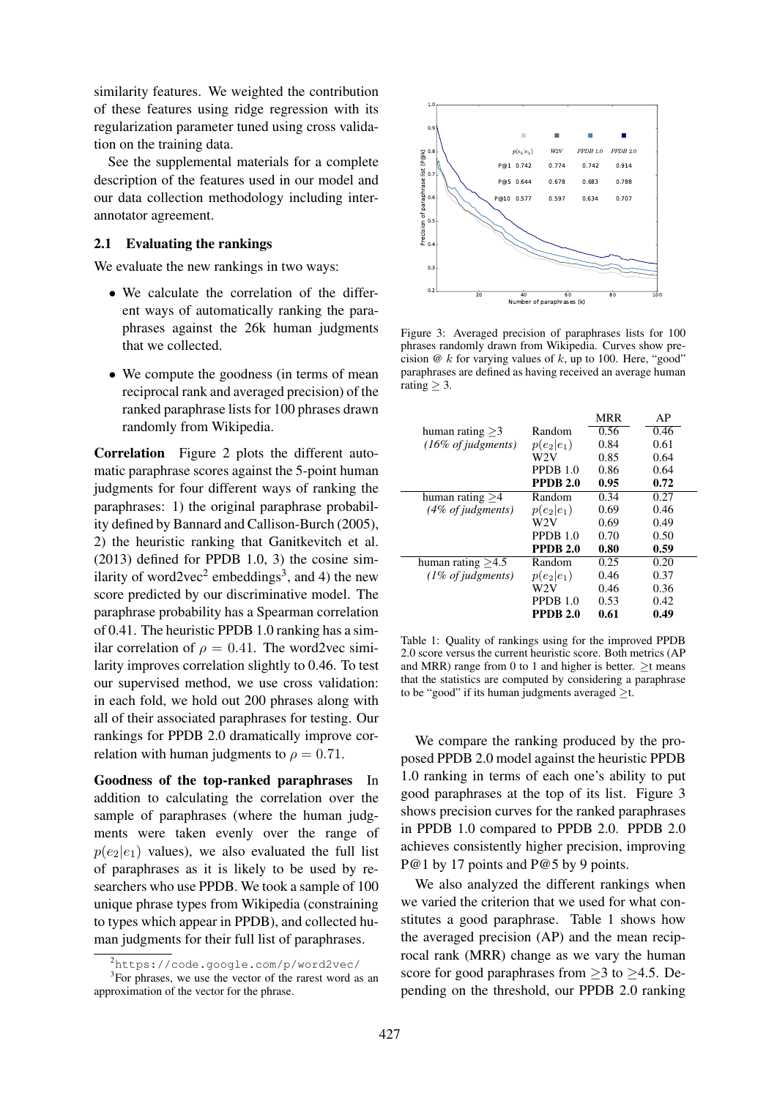similarity features. We weighted the contribution of these features using ridge regression with its regularization parameter tuned using cross validation on the training data.

See the supplemental materials for a complete description of the features used in our model and our data collection methodology including interannotator agreement.

#### 2.1 Evaluating the rankings

We evaluate the new rankings in two ways:

- We calculate the correlation of the different ways of automatically ranking the paraphrases against the 26k human judgments that we collected.
- We compute the goodness (in terms of mean reciprocal rank and averaged precision) of the ranked paraphrase lists for 100 phrases drawn randomly from Wikipedia.

Correlation Figure 2 plots the different automatic paraphrase scores against the 5-point human judgments for four different ways of ranking the paraphrases: 1) the original paraphrase probability defined by Bannard and Callison-Burch (2005), 2) the heuristic ranking that Ganitkevitch et al. (2013) defined for PPDB 1.0, 3) the cosine similarity of word2vec<sup>2</sup> embeddings<sup>3</sup>, and 4) the new score predicted by our discriminative model. The paraphrase probability has a Spearman correlation of 0.41. The heuristic PPDB 1.0 ranking has a similar correlation of  $\rho = 0.41$ . The word2vec similarity improves correlation slightly to 0.46. To test our supervised method, we use cross validation: in each fold, we hold out 200 phrases along with all of their associated paraphrases for testing. Our rankings for PPDB 2.0 dramatically improve correlation with human judgments to  $\rho = 0.71$ .

Goodness of the top-ranked paraphrases In addition to calculating the correlation over the sample of paraphrases (where the human judgments were taken evenly over the range of  $p(e_2|e_1)$  values), we also evaluated the full list of paraphrases as it is likely to be used by researchers who use PPDB. We took a sample of 100 unique phrase types from Wikipedia (constraining to types which appear in PPDB), and collected human judgments for their full list of paraphrases.



Figure 3: Averaged precision of paraphrases lists for 100 phrases randomly drawn from Wikipedia. Curves show precision @ k for varying values of k, up to 100. Here, "good" paraphrases are defined as having received an average human rating  $\geq 3$ .

|                                        |                 | <b>MRR</b> | AP   |
|----------------------------------------|-----------------|------------|------|
| human rating $>3$                      | Random          | 0.56       | 0.46 |
| $(16\% \text{ of judgments})$          | $p(e_2 e_1)$    | 0.84       | 0.61 |
|                                        | W2V             | 0.85       | 0.64 |
|                                        | PPDB 1.0        | 0.86       | 0.64 |
|                                        | <b>PPDB 2.0</b> | 0.95       | 0.72 |
| human rating $>4$                      | Random          | 0.34       | 0.27 |
| $(4\% \text{ of }j$ <i>iudgments</i> ) | $p(e_2 e_1)$    | 0.69       | 0.46 |
|                                        | W2V             | 0.69       | 0.49 |
|                                        | PPDB $1.0$      | 0.70       | 0.50 |
|                                        | <b>PPDB 2.0</b> | 0.80       | 0.59 |
| human rating $>4.5$                    | Random          | 0.25       | 0.20 |
| $(1\% \text{ of}_i)$                   | $p(e_2 e_1)$    | 0.46       | 0.37 |
|                                        | W2V             | 0.46       | 0.36 |
|                                        | PPDB $1.0$      | 0.53       | 0.42 |
|                                        | <b>PPDB 2.0</b> | 0.61       | 0.49 |
|                                        |                 |            |      |

Table 1: Quality of rankings using for the improved PPDB 2.0 score versus the current heuristic score. Both metrics (AP and MRR) range from 0 to 1 and higher is better.  $>$ t means that the statistics are computed by considering a paraphrase to be "good" if its human judgments averaged  $\geq t$ .

We compare the ranking produced by the proposed PPDB 2.0 model against the heuristic PPDB 1.0 ranking in terms of each one's ability to put good paraphrases at the top of its list. Figure 3 shows precision curves for the ranked paraphrases in PPDB 1.0 compared to PPDB 2.0. PPDB 2.0 achieves consistently higher precision, improving P@1 by 17 points and P@5 by 9 points.

We also analyzed the different rankings when we varied the criterion that we used for what constitutes a good paraphrase. Table 1 shows how the averaged precision (AP) and the mean reciprocal rank (MRR) change as we vary the human score for good paraphrases from  $\geq$ 3 to  $\geq$ 4.5. Depending on the threshold, our PPDB 2.0 ranking

<sup>2</sup>https://code.google.com/p/word2vec/

<sup>&</sup>lt;sup>3</sup>For phrases, we use the vector of the rarest word as an approximation of the vector for the phrase.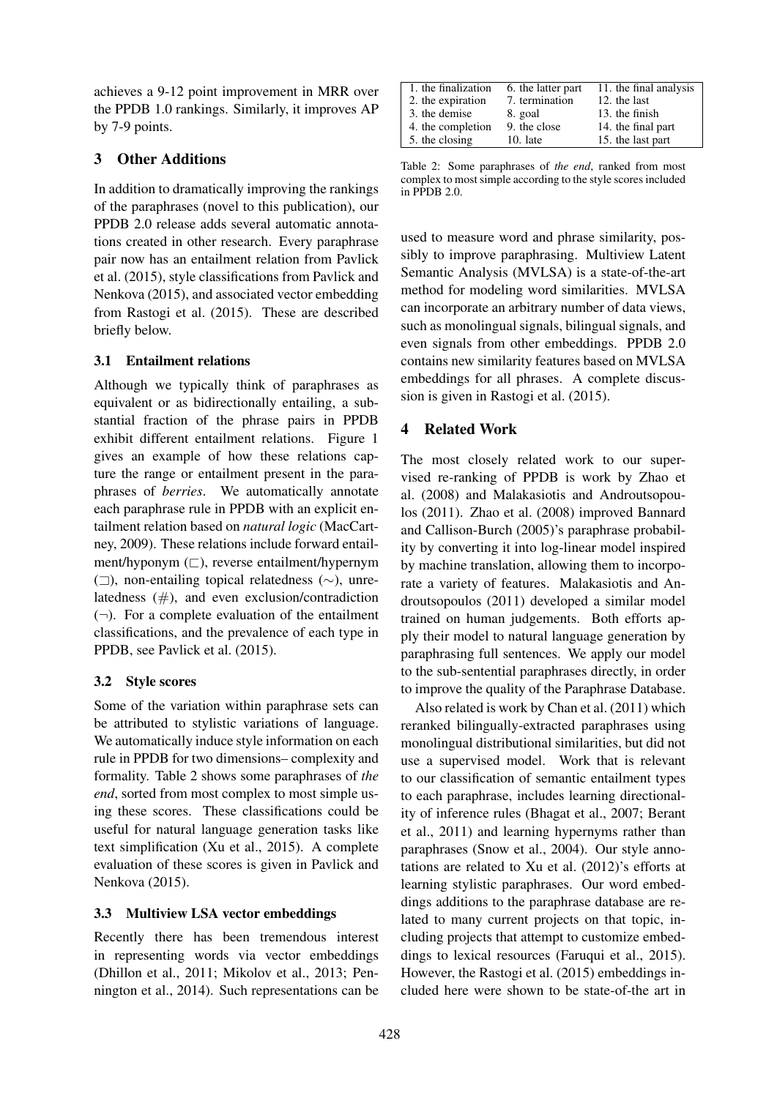achieves a 9-12 point improvement in MRR over the PPDB 1.0 rankings. Similarly, it improves AP by 7-9 points.

# 3 Other Additions

In addition to dramatically improving the rankings of the paraphrases (novel to this publication), our PPDB 2.0 release adds several automatic annotations created in other research. Every paraphrase pair now has an entailment relation from Pavlick et al. (2015), style classifications from Pavlick and Nenkova (2015), and associated vector embedding from Rastogi et al. (2015). These are described briefly below.

### 3.1 Entailment relations

Although we typically think of paraphrases as equivalent or as bidirectionally entailing, a substantial fraction of the phrase pairs in PPDB exhibit different entailment relations. Figure 1 gives an example of how these relations capture the range or entailment present in the paraphrases of *berries*. We automatically annotate each paraphrase rule in PPDB with an explicit entailment relation based on *natural logic* (MacCartney, 2009). These relations include forward entailment/hyponym  $(\square)$ , reverse entailment/hypernym (A), non-entailing topical relatedness (∼), unrelatedness  $(\#)$ , and even exclusion/contradiction  $(\neg)$ . For a complete evaluation of the entailment classifications, and the prevalence of each type in PPDB, see Pavlick et al. (2015).

### 3.2 Style scores

Some of the variation within paraphrase sets can be attributed to stylistic variations of language. We automatically induce style information on each rule in PPDB for two dimensions– complexity and formality. Table 2 shows some paraphrases of *the end*, sorted from most complex to most simple using these scores. These classifications could be useful for natural language generation tasks like text simplification (Xu et al., 2015). A complete evaluation of these scores is given in Pavlick and Nenkova (2015).

### 3.3 Multiview LSA vector embeddings

Recently there has been tremendous interest in representing words via vector embeddings (Dhillon et al., 2011; Mikolov et al., 2013; Pennington et al., 2014). Such representations can be

| 1. the finalization | 6. the latter part | 11. the final analysis |
|---------------------|--------------------|------------------------|
| 2. the expiration   | 7. termination     | 12. the last           |
| 3. the demise       | 8. goal            | 13. the finish         |
| 4. the completion   | 9. the close       | 14. the final part     |
| 5. the closing      | $10.$ late         | 15. the last part      |

Table 2: Some paraphrases of *the end*, ranked from most complex to most simple according to the style scores included in PPDB 2.0.

used to measure word and phrase similarity, possibly to improve paraphrasing. Multiview Latent Semantic Analysis (MVLSA) is a state-of-the-art method for modeling word similarities. MVLSA can incorporate an arbitrary number of data views, such as monolingual signals, bilingual signals, and even signals from other embeddings. PPDB 2.0 contains new similarity features based on MVLSA embeddings for all phrases. A complete discussion is given in Rastogi et al. (2015).

# 4 Related Work

The most closely related work to our supervised re-ranking of PPDB is work by Zhao et al. (2008) and Malakasiotis and Androutsopoulos (2011). Zhao et al. (2008) improved Bannard and Callison-Burch (2005)'s paraphrase probability by converting it into log-linear model inspired by machine translation, allowing them to incorporate a variety of features. Malakasiotis and Androutsopoulos (2011) developed a similar model trained on human judgements. Both efforts apply their model to natural language generation by paraphrasing full sentences. We apply our model to the sub-sentential paraphrases directly, in order to improve the quality of the Paraphrase Database.

Also related is work by Chan et al. (2011) which reranked bilingually-extracted paraphrases using monolingual distributional similarities, but did not use a supervised model. Work that is relevant to our classification of semantic entailment types to each paraphrase, includes learning directionality of inference rules (Bhagat et al., 2007; Berant et al., 2011) and learning hypernyms rather than paraphrases (Snow et al., 2004). Our style annotations are related to Xu et al. (2012)'s efforts at learning stylistic paraphrases. Our word embeddings additions to the paraphrase database are related to many current projects on that topic, including projects that attempt to customize embeddings to lexical resources (Faruqui et al., 2015). However, the Rastogi et al. (2015) embeddings included here were shown to be state-of-the art in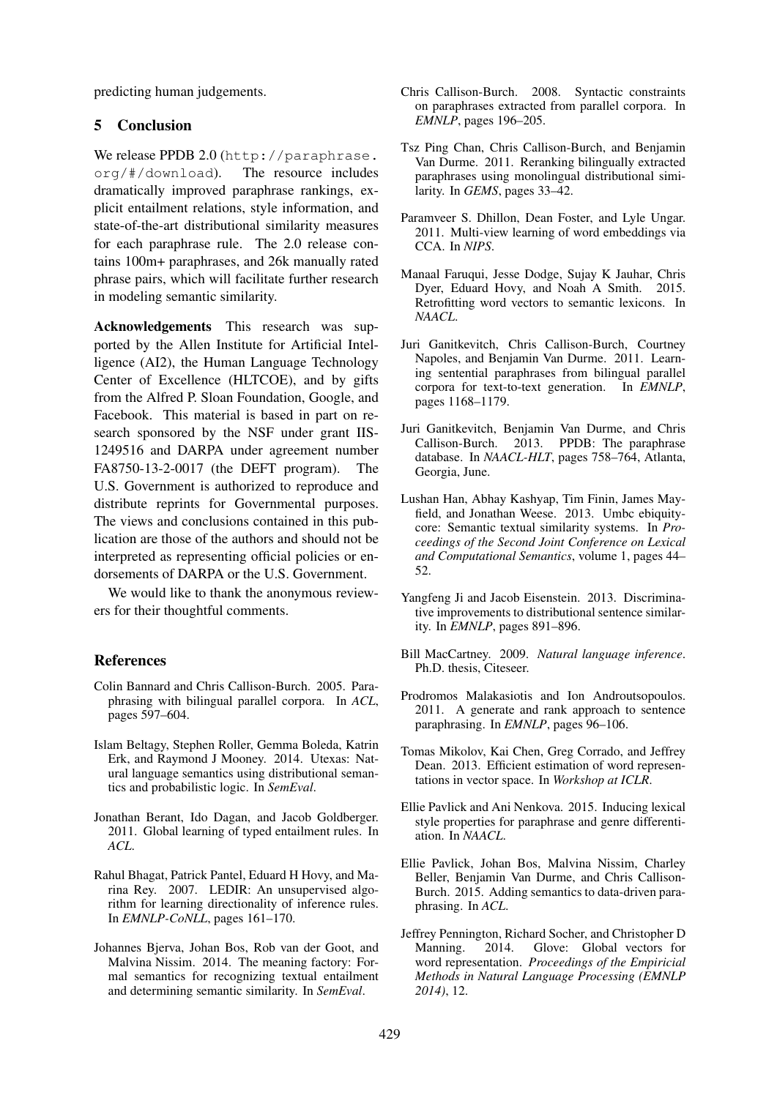predicting human judgements.

#### 5 Conclusion

We release PPDB 2.0 (http://paraphrase. org/#/download). The resource includes dramatically improved paraphrase rankings, explicit entailment relations, style information, and state-of-the-art distributional similarity measures for each paraphrase rule. The 2.0 release contains 100m+ paraphrases, and 26k manually rated phrase pairs, which will facilitate further research in modeling semantic similarity.

Acknowledgements This research was supported by the Allen Institute for Artificial Intelligence (AI2), the Human Language Technology Center of Excellence (HLTCOE), and by gifts from the Alfred P. Sloan Foundation, Google, and Facebook. This material is based in part on research sponsored by the NSF under grant IIS-1249516 and DARPA under agreement number FA8750-13-2-0017 (the DEFT program). The U.S. Government is authorized to reproduce and distribute reprints for Governmental purposes. The views and conclusions contained in this publication are those of the authors and should not be interpreted as representing official policies or endorsements of DARPA or the U.S. Government.

We would like to thank the anonymous reviewers for their thoughtful comments.

#### References

- Colin Bannard and Chris Callison-Burch. 2005. Paraphrasing with bilingual parallel corpora. In *ACL*, pages 597–604.
- Islam Beltagy, Stephen Roller, Gemma Boleda, Katrin Erk, and Raymond J Mooney. 2014. Utexas: Natural language semantics using distributional semantics and probabilistic logic. In *SemEval*.
- Jonathan Berant, Ido Dagan, and Jacob Goldberger. 2011. Global learning of typed entailment rules. In *ACL*.
- Rahul Bhagat, Patrick Pantel, Eduard H Hovy, and Marina Rey. 2007. LEDIR: An unsupervised algorithm for learning directionality of inference rules. In *EMNLP-CoNLL*, pages 161–170.
- Johannes Bjerva, Johan Bos, Rob van der Goot, and Malvina Nissim. 2014. The meaning factory: Formal semantics for recognizing textual entailment and determining semantic similarity. In *SemEval*.
- Chris Callison-Burch. 2008. Syntactic constraints on paraphrases extracted from parallel corpora. In *EMNLP*, pages 196–205.
- Tsz Ping Chan, Chris Callison-Burch, and Benjamin Van Durme. 2011. Reranking bilingually extracted paraphrases using monolingual distributional similarity. In *GEMS*, pages 33–42.
- Paramveer S. Dhillon, Dean Foster, and Lyle Ungar. 2011. Multi-view learning of word embeddings via CCA. In *NIPS*.
- Manaal Faruqui, Jesse Dodge, Sujay K Jauhar, Chris Dyer, Eduard Hovy, and Noah A Smith. 2015. Retrofitting word vectors to semantic lexicons. In *NAACL*.
- Juri Ganitkevitch, Chris Callison-Burch, Courtney Napoles, and Benjamin Van Durme. 2011. Learning sentential paraphrases from bilingual parallel corpora for text-to-text generation. In *EMNLP*, pages 1168–1179.
- Juri Ganitkevitch, Benjamin Van Durme, and Chris Callison-Burch. 2013. PPDB: The paraphrase database. In *NAACL-HLT*, pages 758–764, Atlanta, Georgia, June.
- Lushan Han, Abhay Kashyap, Tim Finin, James Mayfield, and Jonathan Weese. 2013. Umbc ebiquitycore: Semantic textual similarity systems. In *Proceedings of the Second Joint Conference on Lexical and Computational Semantics*, volume 1, pages 44– 52.
- Yangfeng Ji and Jacob Eisenstein. 2013. Discriminative improvements to distributional sentence similarity. In *EMNLP*, pages 891–896.
- Bill MacCartney. 2009. *Natural language inference*. Ph.D. thesis, Citeseer.
- Prodromos Malakasiotis and Ion Androutsopoulos. 2011. A generate and rank approach to sentence paraphrasing. In *EMNLP*, pages 96–106.
- Tomas Mikolov, Kai Chen, Greg Corrado, and Jeffrey Dean. 2013. Efficient estimation of word representations in vector space. In *Workshop at ICLR*.
- Ellie Pavlick and Ani Nenkova. 2015. Inducing lexical style properties for paraphrase and genre differentiation. In *NAACL*.
- Ellie Pavlick, Johan Bos, Malvina Nissim, Charley Beller, Benjamin Van Durme, and Chris Callison-Burch. 2015. Adding semantics to data-driven paraphrasing. In *ACL*.
- Jeffrey Pennington, Richard Socher, and Christopher D Manning. 2014. Glove: Global vectors for word representation. *Proceedings of the Empiricial Methods in Natural Language Processing (EMNLP 2014)*, 12.